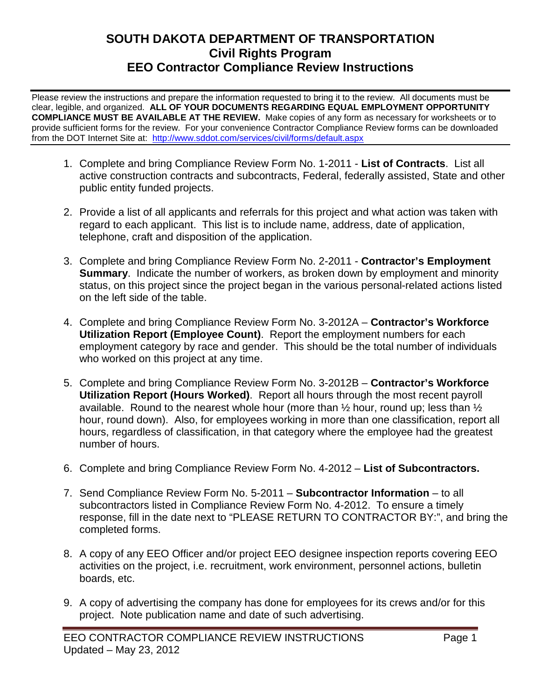## **SOUTH DAKOTA DEPARTMENT OF TRANSPORTATION Civil Rights Program EEO Contractor Compliance Review Instructions**

Please review the instructions and prepare the information requested to bring it to the review. All documents must be clear, legible, and organized. **ALL OF YOUR DOCUMENTS REGARDING EQUAL EMPLOYMENT OPPORTUNITY COMPLIANCE MUST BE AVAILABLE AT THE REVIEW.** Make copies of any form as necessary for worksheets or to provide sufficient forms for the review. For your convenience Contractor Compliance Review forms can be downloaded from the DOT Internet Site at: <http://www.sddot.com/services/civil/forms/default.aspx>

- 1. Complete and bring Compliance Review Form No. 1-2011 **List of Contracts**. List all active construction contracts and subcontracts, Federal, federally assisted, State and other public entity funded projects.
- 2. Provide a list of all applicants and referrals for this project and what action was taken with regard to each applicant. This list is to include name, address, date of application, telephone, craft and disposition of the application.
- 3. Complete and bring Compliance Review Form No. 2-2011 **Contractor's Employment Summary**. Indicate the number of workers, as broken down by employment and minority status, on this project since the project began in the various personal-related actions listed on the left side of the table.
- 4. Complete and bring Compliance Review Form No. 3-2012A **Contractor's Workforce Utilization Report (Employee Count)**. Report the employment numbers for each employment category by race and gender. This should be the total number of individuals who worked on this project at any time.
- 5. Complete and bring Compliance Review Form No. 3-2012B **Contractor's Workforce Utilization Report (Hours Worked)**. Report all hours through the most recent payroll available. Round to the nearest whole hour (more than  $\frac{1}{2}$  hour, round up; less than  $\frac{1}{2}$ hour, round down). Also, for employees working in more than one classification, report all hours, regardless of classification, in that category where the employee had the greatest number of hours.
- 6. Complete and bring Compliance Review Form No. 4-2012 **List of Subcontractors.**
- 7. Send Compliance Review Form No. 5-2011 **Subcontractor Information** to all subcontractors listed in Compliance Review Form No. 4-2012. To ensure a timely response, fill in the date next to "PLEASE RETURN TO CONTRACTOR BY:", and bring the completed forms.
- 8. A copy of any EEO Officer and/or project EEO designee inspection reports covering EEO activities on the project, i.e. recruitment, work environment, personnel actions, bulletin boards, etc.
- 9. A copy of advertising the company has done for employees for its crews and/or for this project. Note publication name and date of such advertising.